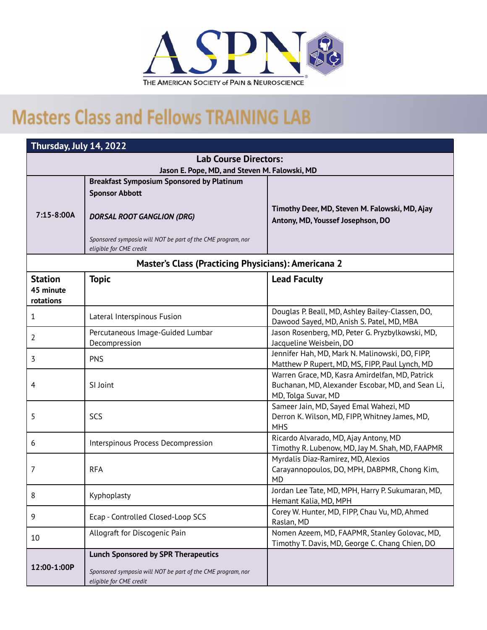

## **Masters Class and Fellows TRAINING LAB**

| Thursday, July 14, 2022                                    |                                                                                        |                                                                                                                             |  |
|------------------------------------------------------------|----------------------------------------------------------------------------------------|-----------------------------------------------------------------------------------------------------------------------------|--|
| <b>Lab Course Directors:</b>                               |                                                                                        |                                                                                                                             |  |
| Jason E. Pope, MD, and Steven M. Falowski, MD              |                                                                                        |                                                                                                                             |  |
|                                                            | <b>Breakfast Symposium Sponsored by Platinum</b><br><b>Sponsor Abbott</b>              |                                                                                                                             |  |
| 7:15-8:00A                                                 | <b>DORSAL ROOT GANGLION (DRG)</b>                                                      | Timothy Deer, MD, Steven M. Falowski, MD, Ajay<br>Antony, MD, Youssef Josephson, DO                                         |  |
|                                                            | Sponsored symposia will NOT be part of the CME program, nor<br>eligible for CME credit |                                                                                                                             |  |
| <b>Master's Class (Practicing Physicians): Americana 2</b> |                                                                                        |                                                                                                                             |  |
| <b>Station</b><br>45 minute<br>rotations                   | <b>Topic</b>                                                                           | <b>Lead Faculty</b>                                                                                                         |  |
| 1                                                          | Lateral Interspinous Fusion                                                            | Douglas P. Beall, MD, Ashley Bailey-Classen, DO,<br>Dawood Sayed, MD, Anish S. Patel, MD, MBA                               |  |
| 2                                                          | Percutaneous Image-Guided Lumbar<br>Decompression                                      | Jason Rosenberg, MD, Peter G. Pryzbylkowski, MD,<br>Jacqueline Weisbein, DO                                                 |  |
| 3                                                          | <b>PNS</b>                                                                             | Jennifer Hah, MD, Mark N. Malinowski, DO, FIPP,<br>Matthew P Rupert, MD, MS, FIPP, Paul Lynch, MD                           |  |
| $\overline{4}$                                             | SI Joint                                                                               | Warren Grace, MD, Kasra Amirdelfan, MD, Patrick<br>Buchanan, MD, Alexander Escobar, MD, and Sean Li,<br>MD, Tolga Suvar, MD |  |
| 5                                                          | SCS                                                                                    | Sameer Jain, MD, Sayed Emal Wahezi, MD<br>Derron K. Wilson, MD, FIPP, Whitney James, MD,<br><b>MHS</b>                      |  |
| 6                                                          | Interspinous Process Decompression                                                     | Ricardo Alvarado, MD, Ajay Antony, MD<br>Timothy R. Lubenow, MD, Jay M. Shah, MD, FAAPMR                                    |  |
| 7                                                          | <b>RFA</b>                                                                             | Myrdalis Diaz-Ramirez, MD, Alexios<br>Carayannopoulos, DO, MPH, DABPMR, Chong Kim,<br><b>MD</b>                             |  |
| 8                                                          | Kyphoplasty                                                                            | Jordan Lee Tate, MD, MPH, Harry P. Sukumaran, MD,<br>Hemant Kalia, MD, MPH                                                  |  |
| 9                                                          | Ecap - Controlled Closed-Loop SCS                                                      | Corey W. Hunter, MD, FIPP, Chau Vu, MD, Ahmed<br>Raslan, MD                                                                 |  |
| 10                                                         | Allograft for Discogenic Pain                                                          | Nomen Azeem, MD, FAAPMR, Stanley Golovac, MD,<br>Timothy T. Davis, MD, George C. Chang Chien, DO                            |  |
|                                                            | <b>Lunch Sponsored by SPR Therapeutics</b>                                             |                                                                                                                             |  |
| 12:00-1:00P                                                | Sponsored symposia will NOT be part of the CME program, nor<br>eligible for CME credit |                                                                                                                             |  |